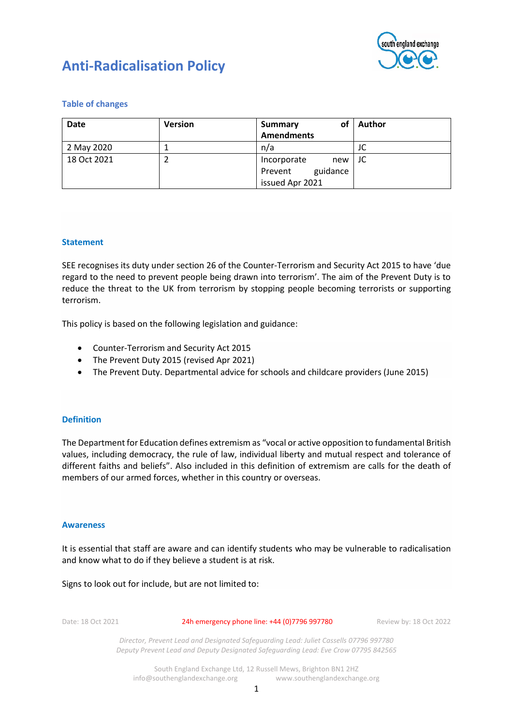

# **Anti-Radicalisation Policy**

## **Table of changes**

| <b>Date</b> | <b>Version</b> | оf<br><b>Summary</b> | Author |
|-------------|----------------|----------------------|--------|
|             |                | <b>Amendments</b>    |        |
| 2 May 2020  |                | n/a                  | JC     |
| 18 Oct 2021 |                | Incorporate<br>new   | JC     |
|             |                | guidance<br>Prevent  |        |
|             |                | issued Apr 2021      |        |

## **Statement**

SEE recognises its duty under section 26 of the Counter-Terrorism and Security Act 2015 to have 'due regard to the need to prevent people being drawn into terrorism'. The aim of the Prevent Duty is to reduce the threat to the UK from terrorism by stopping people becoming terrorists or supporting terrorism.

This policy is based on the following legislation and guidance:

- Counter-Terrorism and Security Act 2015
- The Prevent Duty 2015 (revised Apr 2021)
- The Prevent Duty. Departmental advice for schools and childcare providers (June 2015)

## **Definition**

The Department for Education defines extremism as "vocal or active opposition to fundamental British values, including democracy, the rule of law, individual liberty and mutual respect and tolerance of different faiths and beliefs". Also included in this definition of extremism are calls for the death of members of our armed forces, whether in this country or overseas.

#### **Awareness**

It is essential that staff are aware and can identify students who may be vulnerable to radicalisation and know what to do if they believe a student is at risk.

Signs to look out for include, but are not limited to:

Date: 18 Oct 2021 24h emergency phone line: +44 (0)7796 997780 Review by: 18 Oct 2022

*Director, Prevent Lead and Designated Safeguarding Lead: Juliet Cassells 07796 997780 Deputy Prevent Lead and Deputy Designated Safeguarding Lead: Eve Crow 07795 842565*

South England Exchange Ltd, 12 Russell Mews, Brighton BN1 2HZ info@southenglandexchange.org www.southenglandexchange.org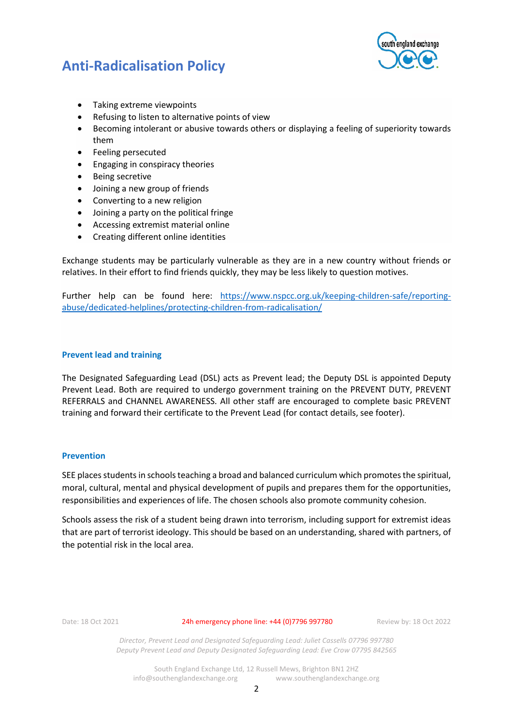

## **Anti-Radicalisation Policy**

- Taking extreme viewpoints
- Refusing to listen to alternative points of view
- Becoming intolerant or abusive towards others or displaying a feeling of superiority towards them
- Feeling persecuted
- Engaging in conspiracy theories
- Being secretive
- Joining a new group of friends
- Converting to a new religion
- Joining a party on the political fringe
- Accessing extremist material online
- Creating different online identities

Exchange students may be particularly vulnerable as they are in a new country without friends or relatives. In their effort to find friends quickly, they may be less likely to question motives.

Further help can be found here: [https://www.nspcc.org.uk/keeping-children-safe/reporting](https://www.nspcc.org.uk/keeping-children-safe/reporting-abuse/dedicated-helplines/protecting-children-from-radicalisation/)[abuse/dedicated-helplines/protecting-children-from-radicalisation/](https://www.nspcc.org.uk/keeping-children-safe/reporting-abuse/dedicated-helplines/protecting-children-from-radicalisation/)

## **Prevent lead and training**

The Designated Safeguarding Lead (DSL) acts as Prevent lead; the Deputy DSL is appointed Deputy Prevent Lead. Both are required to undergo government training on the PREVENT DUTY, PREVENT REFERRALS and CHANNEL AWARENESS. All other staff are encouraged to complete basic PREVENT training and forward their certificate to the Prevent Lead (for contact details, see footer).

## **Prevention**

SEE places students in schools teaching a broad and balanced curriculum which promotes the spiritual, moral, cultural, mental and physical development of pupils and prepares them for the opportunities, responsibilities and experiences of life. The chosen schools also promote community cohesion.

Schools assess the risk of a student being drawn into terrorism, including support for extremist ideas that are part of terrorist ideology. This should be based on an understanding, shared with partners, of the potential risk in the local area.

Date: 18 Oct 2021 24h emergency phone line: +44 (0) 7796 997780 Review by: 18 Oct 2022

*Director, Prevent Lead and Designated Safeguarding Lead: Juliet Cassells 07796 997780 Deputy Prevent Lead and Deputy Designated Safeguarding Lead: Eve Crow 07795 842565*

South England Exchange Ltd, 12 Russell Mews, Brighton BN1 2HZ info@southenglandexchange.org www.southenglandexchange.org